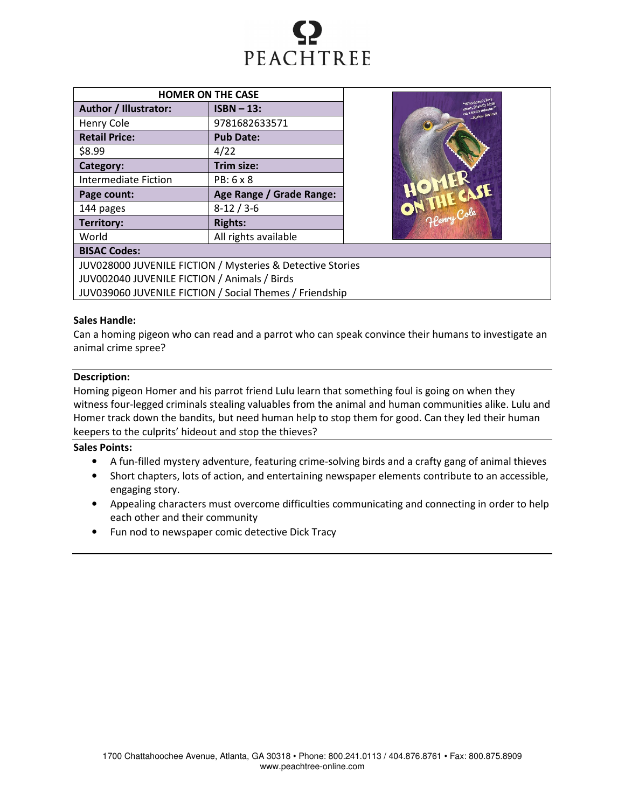

| <b>HOMER ON THE CASE</b>                                   |                          | "Who doesn't love                                      |  |  |  |
|------------------------------------------------------------|--------------------------|--------------------------------------------------------|--|--|--|
| Author / Illustrator:                                      | $ISBN - 13:$             | in friendly birds<br>secret mission.<br>Kirkus Reviews |  |  |  |
| Henry Cole                                                 | 9781682633571            |                                                        |  |  |  |
| <b>Retail Price:</b>                                       | <b>Pub Date:</b>         |                                                        |  |  |  |
| \$8.99                                                     | 4/22                     |                                                        |  |  |  |
| Category:                                                  | Trim size:               |                                                        |  |  |  |
| Intermediate Fiction                                       | PB: 6 x 8                |                                                        |  |  |  |
| Page count:                                                | Age Range / Grade Range: | Jeany Cole                                             |  |  |  |
| 144 pages                                                  | $8-12/3-6$               |                                                        |  |  |  |
| <b>Territory:</b>                                          | <b>Rights:</b>           |                                                        |  |  |  |
| World                                                      | All rights available     |                                                        |  |  |  |
| <b>BISAC Codes:</b>                                        |                          |                                                        |  |  |  |
| JUV028000 JUVENILE FICTION / Mysteries & Detective Stories |                          |                                                        |  |  |  |
| JUV002040 JUVENILE FICTION / Animals / Birds               |                          |                                                        |  |  |  |
| JUV039060 JUVENILE FICTION / Social Themes / Friendship    |                          |                                                        |  |  |  |

# Sales Handle:

Can a homing pigeon who can read and a parrot who can speak convince their humans to investigate an animal crime spree?

# Description:

Homing pigeon Homer and his parrot friend Lulu learn that something foul is going on when they witness four-legged criminals stealing valuables from the animal and human communities alike. Lulu and Homer track down the bandits, but need human help to stop them for good. Can they led their human keepers to the culprits' hideout and stop the thieves?

#### Sales Points:

- A fun-filled mystery adventure, featuring crime-solving birds and a crafty gang of animal thieves
- Short chapters, lots of action, and entertaining newspaper elements contribute to an accessible, engaging story.
- Appealing characters must overcome difficulties communicating and connecting in order to help each other and their community
- Fun nod to newspaper comic detective Dick Tracy